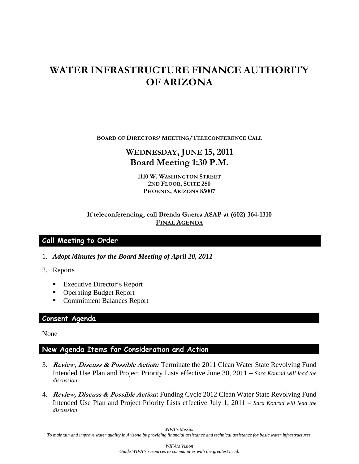# **WATER INFRASTRUCTURE FINANCE AUTHORITY OF ARIZONA**

**BOARD OF DIRECTORS' MEETING/TELECONFERENCE CALL**

# **WEDNESDAY, JUNE 15, 2011 Board Meeting 1:30 P.M.**

**1110 W. WASHINGTON STREET 2ND FLOOR, SUITE 250 PHOENIX, ARIZONA 85007** 

## **If teleconferencing, call Brenda Guerra ASAP at (602) 364-1310 FINAL AGENDA**

# **Call Meeting to Order**

- 1. *Adopt Minutes for the Board Meeting of April 20, 2011*
- 2. Reports
	- Executive Director's Report
	- Operating Budget Report
	- Commitment Balances Report

#### **Consent Agenda**

None

## **New Agenda Items for Consideration and Action**

- 3. **Review, Discuss & Possible Actio***n:* Terminate the 2011 Clean Water State Revolving Fund Intended Use Plan and Project Priority Lists effective June 30, 2011 – *Sara Konrad will lead the discussion*
- 4. **Review, Discuss & Possible Action:** Funding Cycle 2012 Clean Water State Revolving Fund Intended Use Plan and Project Priority Lists effective July 1, 2011 – *Sara Konrad will lead the discussion*

*WIFA's Mission To maintain and improve water quality in Arizona by providing financial assistance and technical assistance for basic water infrastructures.*